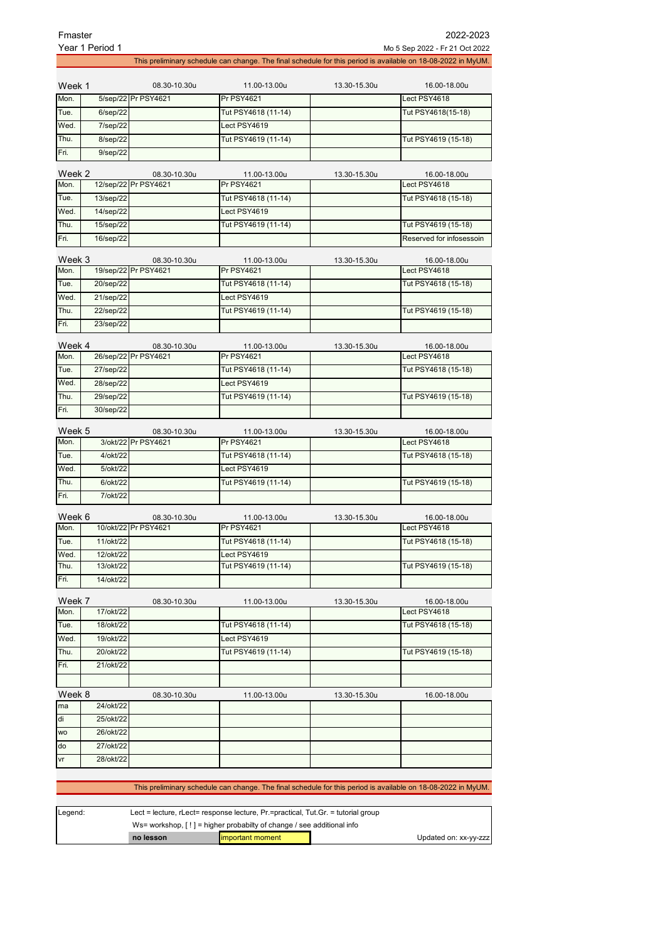|                | Fmaster<br>2022-2023<br>Year 1 Period 1<br>Mo 5 Sep 2022 - Fr 21 Oct 2022 |                                      |                                     |                                                                         |                                                                                                              |  |
|----------------|---------------------------------------------------------------------------|--------------------------------------|-------------------------------------|-------------------------------------------------------------------------|--------------------------------------------------------------------------------------------------------------|--|
|                |                                                                           |                                      |                                     |                                                                         | This preliminary schedule can change. The final schedule for this period is available on 18-08-2022 in MyUM. |  |
|                |                                                                           |                                      |                                     |                                                                         |                                                                                                              |  |
| Week 1         |                                                                           | 08.30-10.30u                         | 11.00-13.00u                        | 13.30-15.30u                                                            | 16.00-18.00u                                                                                                 |  |
| Mon.           |                                                                           | 5/sep/22 Pr PSY4621                  | Pr PSY4621                          |                                                                         | Lect PSY4618                                                                                                 |  |
| Tue.           | 6/sep/22                                                                  |                                      | Tut PSY4618 (11-14)                 |                                                                         | Tut PSY4618(15-18)                                                                                           |  |
| Wed.           | 7/sep/22                                                                  |                                      | Lect PSY4619                        |                                                                         |                                                                                                              |  |
| Thu.           | 8/sep/22                                                                  |                                      | Tut PSY4619 (11-14)                 |                                                                         | Tut PSY4619 (15-18)                                                                                          |  |
| Fri.           | $9$ /sep $/22$                                                            |                                      |                                     |                                                                         |                                                                                                              |  |
| Week 2         |                                                                           | 08.30-10.30u                         | 11.00-13.00u                        | 13.30-15.30u                                                            | 16.00-18.00u                                                                                                 |  |
| Mon.           |                                                                           | 12/sep/22 Pr PSY4621                 | <b>Pr PSY4621</b>                   |                                                                         | Lect PSY4618                                                                                                 |  |
| Tue.           | 13/sep/22                                                                 |                                      | Tut PSY4618 (11-14)                 |                                                                         | Tut PSY4618 (15-18)                                                                                          |  |
| Wed.           | 14/sep/22                                                                 |                                      | Lect PSY4619                        |                                                                         |                                                                                                              |  |
| Thu.           | 15/sep/22                                                                 |                                      | Tut PSY4619 (11-14)                 |                                                                         | Tut PSY4619 (15-18)                                                                                          |  |
| Fri.           | 16/sep/22                                                                 |                                      |                                     |                                                                         | Reserved for infosessoin                                                                                     |  |
|                |                                                                           |                                      |                                     |                                                                         |                                                                                                              |  |
| Week 3<br>Mon. |                                                                           | 08.30-10.30u<br>19/sep/22 Pr PSY4621 | 11.00-13.00u<br><b>Pr PSY4621</b>   | 13.30-15.30u                                                            | 16.00-18.00u<br>Lect PSY4618                                                                                 |  |
|                |                                                                           |                                      |                                     |                                                                         | Tut PSY4618 (15-18)                                                                                          |  |
| Tue.           | 20/sep/22                                                                 |                                      | Tut PSY4618 (11-14)<br>Lect PSY4619 |                                                                         |                                                                                                              |  |
| Wed.           | 21/sep/22<br>22/sep/22                                                    |                                      |                                     |                                                                         |                                                                                                              |  |
| Thu.           |                                                                           |                                      | Tut PSY4619 (11-14)                 |                                                                         | Tut PSY4619 (15-18)                                                                                          |  |
| Fri.           | 23/sep/22                                                                 |                                      |                                     |                                                                         |                                                                                                              |  |
| Week 4         |                                                                           | 08.30-10.30u                         | 11.00-13.00u                        | 13.30-15.30u                                                            | 16.00-18.00u                                                                                                 |  |
| Mon.           |                                                                           | 26/sep/22 Pr PSY4621                 | <b>Pr PSY4621</b>                   |                                                                         | Lect PSY4618                                                                                                 |  |
| Tue.           | 27/sep/22                                                                 |                                      | Tut PSY4618 (11-14)                 |                                                                         | Tut PSY4618 (15-18)                                                                                          |  |
| Wed.           | 28/sep/22                                                                 |                                      | Lect PSY4619                        |                                                                         |                                                                                                              |  |
| Thu.           | 29/sep/22                                                                 |                                      | Tut PSY4619 (11-14)                 |                                                                         | Tut PSY4619 (15-18)                                                                                          |  |
| Fri.           | 30/sep/22                                                                 |                                      |                                     |                                                                         |                                                                                                              |  |
| Week 5         |                                                                           | 08.30-10.30u                         | 11.00-13.00u                        | 13.30-15.30u                                                            | 16.00-18.00u                                                                                                 |  |
| Mon.           |                                                                           | 3/okt/22 Pr PSY4621                  | <b>Pr PSY4621</b>                   |                                                                         | Lect PSY4618                                                                                                 |  |
| Tue.           | 4/okt/22                                                                  |                                      | Tut PSY4618 (11-14)                 |                                                                         | Tut PSY4618 (15-18)                                                                                          |  |
| Wed.           | 5/okt/22                                                                  |                                      | Lect PSY4619                        |                                                                         |                                                                                                              |  |
| Thu.           | 6/okt/22                                                                  |                                      | Tut PSY4619 (11-14)                 |                                                                         | Tut PSY4619 (15-18)                                                                                          |  |
| Fri.           | 7/okt/22                                                                  |                                      |                                     |                                                                         |                                                                                                              |  |
|                |                                                                           |                                      |                                     |                                                                         |                                                                                                              |  |
| Week 6         |                                                                           | 08.30-10.30u<br>10/okt/22 Pr PSY4621 | 11.00-13.00u                        | 13.30-15.30u                                                            | 16.00-18.00u                                                                                                 |  |
| Mon.           |                                                                           |                                      | <b>Pr PSY4621</b>                   |                                                                         | Lect PSY4618                                                                                                 |  |
| Tue.           | 11/okt/22                                                                 |                                      | Tut PSY4618 (11-14)                 |                                                                         | Tut PSY4618 (15-18)                                                                                          |  |
| Wed.<br>Thu.   | 12/okt/22<br>13/okt/22                                                    |                                      | Lect PSY4619<br>Tut PSY4619 (11-14) |                                                                         | Tut PSY4619 (15-18)                                                                                          |  |
| Fri.           | 14/okt/22                                                                 |                                      |                                     |                                                                         |                                                                                                              |  |
|                |                                                                           |                                      |                                     |                                                                         |                                                                                                              |  |
| Week 7         |                                                                           | 08.30-10.30u                         | 11.00-13.00u                        | 13.30-15.30u                                                            | 16.00-18.00u                                                                                                 |  |
| Mon.           | 17/okt/22                                                                 |                                      |                                     |                                                                         | Lect PSY4618                                                                                                 |  |
| Tue.           | 18/okt/22                                                                 |                                      | Tut PSY4618 (11-14)                 |                                                                         | Tut PSY4618 (15-18)                                                                                          |  |
| Wed.           | 19/okt/22                                                                 |                                      | Lect PSY4619                        |                                                                         |                                                                                                              |  |
| Thu.           | 20/okt/22                                                                 |                                      | Tut PSY4619 (11-14)                 |                                                                         | Tut PSY4619 (15-18)                                                                                          |  |
| Fri.           | 21/okt/22                                                                 |                                      |                                     |                                                                         |                                                                                                              |  |
|                |                                                                           |                                      |                                     |                                                                         |                                                                                                              |  |
| Week 8         |                                                                           | 08.30-10.30u                         | 11.00-13.00u                        | 13.30-15.30u                                                            | 16.00-18.00u                                                                                                 |  |
| ma             | 24/okt/22                                                                 |                                      |                                     |                                                                         |                                                                                                              |  |
| di             | 25/okt/22                                                                 |                                      |                                     |                                                                         |                                                                                                              |  |
| <b>WO</b>      | 26/okt/22                                                                 |                                      |                                     |                                                                         |                                                                                                              |  |
| do             | 27/okt/22                                                                 |                                      |                                     |                                                                         |                                                                                                              |  |
| vr             | 28/okt/22                                                                 |                                      |                                     |                                                                         |                                                                                                              |  |
|                |                                                                           |                                      |                                     | The final cabadule for this noried is available on 18,08,2022 in Mul IM |                                                                                                              |  |

This preliminary schedule can change. The final schedule for this period is available on 18-08-2022 in MyUM.

| Legend: | Lect = lecture, $r$ Lect = response lecture, $Pr$ = practical, Tut. Gr. = tutorial group |                   |                       |  |
|---------|------------------------------------------------------------------------------------------|-------------------|-----------------------|--|
|         | Ws= workshop, $[!]$ = higher probabilty of change / see additional info                  |                   |                       |  |
|         | no lesson                                                                                | limportant moment | Updated on: xx-yy-zzz |  |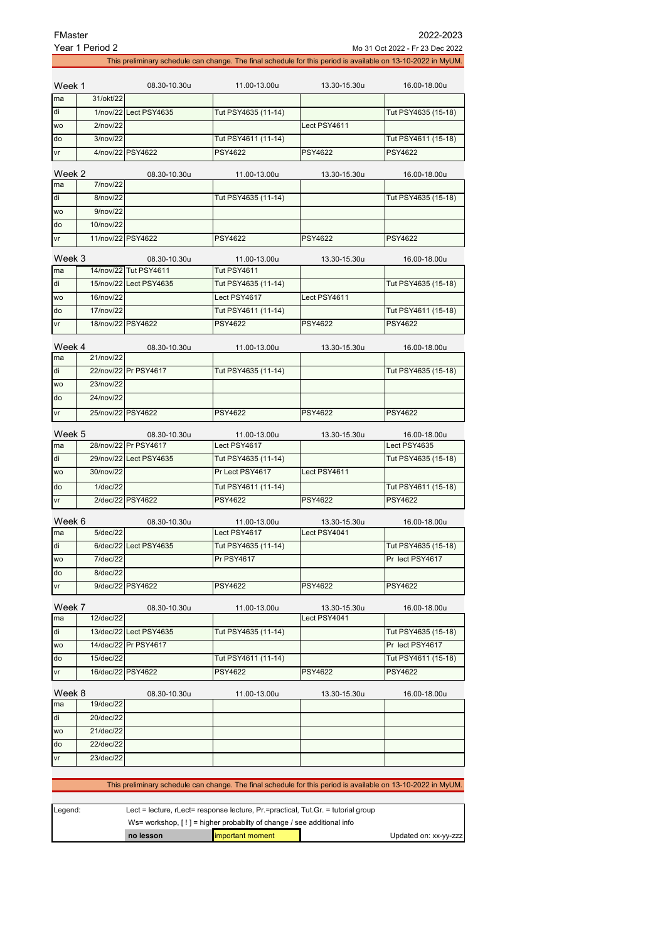| FMaster      | Year 1 Period 2   |                        |                                                                                                              |                              | 2022-2023<br>Mo 31 Oct 2022 - Fr 23 Dec 2022 |
|--------------|-------------------|------------------------|--------------------------------------------------------------------------------------------------------------|------------------------------|----------------------------------------------|
|              |                   |                        | This preliminary schedule can change. The final schedule for this period is available on 13-10-2022 in MyUM. |                              |                                              |
|              |                   |                        |                                                                                                              |                              |                                              |
| Week 1       |                   | 08.30-10.30u           | 11.00-13.00u                                                                                                 | 13.30-15.30u                 | 16.00-18.00u                                 |
| ma           | 31/okt/22         |                        |                                                                                                              |                              |                                              |
| di           |                   | 1/nov/22 Lect PSY4635  | Tut PSY4635 (11-14)                                                                                          |                              | Tut PSY4635 (15-18)                          |
| <b>WO</b>    | 2/nov/22          |                        |                                                                                                              | Lect PSY4611                 |                                              |
| do           | 3/nov/22          |                        | Tut PSY4611 (11-14)                                                                                          |                              | Tut PSY4611 (15-18)                          |
| vr           |                   | 4/nov/22 PSY4622       | <b>PSY4622</b>                                                                                               | <b>PSY4622</b>               | <b>PSY4622</b>                               |
| Week 2       |                   | 08.30-10.30u           | 11.00-13.00u                                                                                                 | 13.30-15.30u                 | 16.00-18.00u                                 |
| ma           | 7/nov/22          |                        |                                                                                                              |                              |                                              |
| di           | 8/nov/22          |                        | Tut PSY4635 (11-14)                                                                                          |                              | Tut PSY4635 (15-18)                          |
| <b>WO</b>    | 9/nov/22          |                        |                                                                                                              |                              |                                              |
| do           | 10/nov/22         |                        |                                                                                                              |                              |                                              |
| vr           |                   | 11/nov/22 PSY4622      | <b>PSY4622</b>                                                                                               | <b>PSY4622</b>               | <b>PSY4622</b>                               |
| Week 3       |                   | 08.30-10.30u           | 11.00-13.00u                                                                                                 | 13.30-15.30u                 | 16.00-18.00u                                 |
| ma           |                   | 14/nov/22 Tut PSY4611  | <b>Tut PSY4611</b>                                                                                           |                              |                                              |
| di           |                   | 15/nov/22 Lect PSY4635 | Tut PSY4635 (11-14)                                                                                          |                              | Tut PSY4635 (15-18)                          |
| <b>WO</b>    | 16/nov/22         |                        | Lect PSY4617                                                                                                 | Lect PSY4611                 |                                              |
| do           | 17/nov/22         |                        | Tut PSY4611 (11-14)                                                                                          |                              | Tut PSY4611 (15-18)                          |
| vr           | 18/nov/22 PSY4622 |                        | <b>PSY4622</b>                                                                                               | PSY4622                      | <b>PSY4622</b>                               |
|              |                   |                        |                                                                                                              |                              |                                              |
| Week 4<br>ma | 21/nov/22         | 08.30-10.30u           | 11.00-13.00u                                                                                                 | 13.30-15.30u                 | 16.00-18.00u                                 |
| di           |                   | 22/nov/22 Pr PSY4617   | Tut PSY4635 (11-14)                                                                                          |                              | Tut PSY4635 (15-18)                          |
| <b>WO</b>    | 23/nov/22         |                        |                                                                                                              |                              |                                              |
| do           | 24/nov/22         |                        |                                                                                                              |                              |                                              |
|              | 25/nov/22 PSY4622 |                        |                                                                                                              |                              | <b>PSY4622</b>                               |
| vr           |                   |                        | <b>PSY4622</b>                                                                                               | <b>PSY4622</b>               |                                              |
| Week 5       |                   | 08.30-10.30u           | 11.00-13.00u                                                                                                 | 13.30-15.30u                 | 16.00-18.00u                                 |
| ma           |                   | 28/nov/22 Pr PSY4617   | Lect PSY4617                                                                                                 |                              | Lect PSY4635                                 |
| di           |                   | 29/nov/22 Lect PSY4635 | Tut PSY4635 (11-14)                                                                                          |                              | Tut PSY4635 (15-18)                          |
| <b>WO</b>    | 30/nov/22         |                        | Pr Lect PSY4617                                                                                              | Lect PSY4611                 |                                              |
| do           | $1/\text{dec}/22$ |                        | Tut PSY4611 (11-14)                                                                                          |                              | Tut PSY4611 (15-18)                          |
| vr           |                   | 2/dec/22 PSY4622       | <b>PSY4622</b>                                                                                               | <b>PSY4622</b>               | <b>PSY4622</b>                               |
| Week 6       |                   | 08.30-10.30u           | 11.00-13.00u                                                                                                 | 13.30-15.30u                 | 16.00-18.00u                                 |
| ma           | $5$ /dec/22       |                        | Lect PSY4617                                                                                                 | Lect PSY4041                 |                                              |
| di           |                   | 6/dec/22 Lect PSY4635  | Tut PSY4635 (11-14)                                                                                          |                              | Tut PSY4635 (15-18)                          |
| <b>WO</b>    | 7/dec/22          |                        | Pr PSY4617                                                                                                   |                              | Pr lect PSY4617                              |
| do           | 8/dec/22          |                        |                                                                                                              |                              |                                              |
| vr           |                   | 9/dec/22 PSY4622       | PSY4622                                                                                                      | PSY4622                      | <b>PSY4622</b>                               |
| Week 7       |                   |                        |                                                                                                              |                              |                                              |
| ma           | 12/dec/22         | 08.30-10.30u           | 11.00-13.00u                                                                                                 | 13.30-15.30u<br>Lect PSY4041 | 16.00-18.00u                                 |
| di           |                   | 13/dec/22 Lect PSY4635 | Tut PSY4635 (11-14)                                                                                          |                              | Tut PSY4635 (15-18)                          |
| WO           |                   | 14/dec/22 Pr PSY4617   |                                                                                                              |                              | Pr lect PSY4617                              |
| do           | 15/dec/22         |                        | Tut PSY4611 (11-14)                                                                                          |                              | Tut PSY4611 (15-18)                          |
| ٧r           |                   | 16/dec/22 PSY4622      | PSY4622                                                                                                      | PSY4622                      | PSY4622                                      |
|              |                   |                        |                                                                                                              |                              |                                              |
| Week 8<br>ma | 19/dec/22         | 08.30-10.30u           | 11.00-13.00u                                                                                                 | 13.30-15.30u                 | 16.00-18.00u                                 |
| di           | 20/dec/22         |                        |                                                                                                              |                              |                                              |
| WO           | 21/dec/22         |                        |                                                                                                              |                              |                                              |
| do           | 22/dec/22         |                        |                                                                                                              |                              |                                              |
| ٧r           | 23/dec/22         |                        |                                                                                                              |                              |                                              |
|              |                   |                        |                                                                                                              |                              |                                              |

This preliminary schedule can change. The final schedule for this period is available on 13-10-2022 in MyUM.

| Legend: | Lect = lecture, rLect= response lecture, $Pr =$ practical, Tut.Gr. = tutorial group |                         |  |                       |
|---------|-------------------------------------------------------------------------------------|-------------------------|--|-----------------------|
|         | Ws= workshop, $[!]$ = higher probabilty of change / see additional info             |                         |  |                       |
|         | no lesson                                                                           | <b>Important moment</b> |  | Updated on: xx-yy-zzz |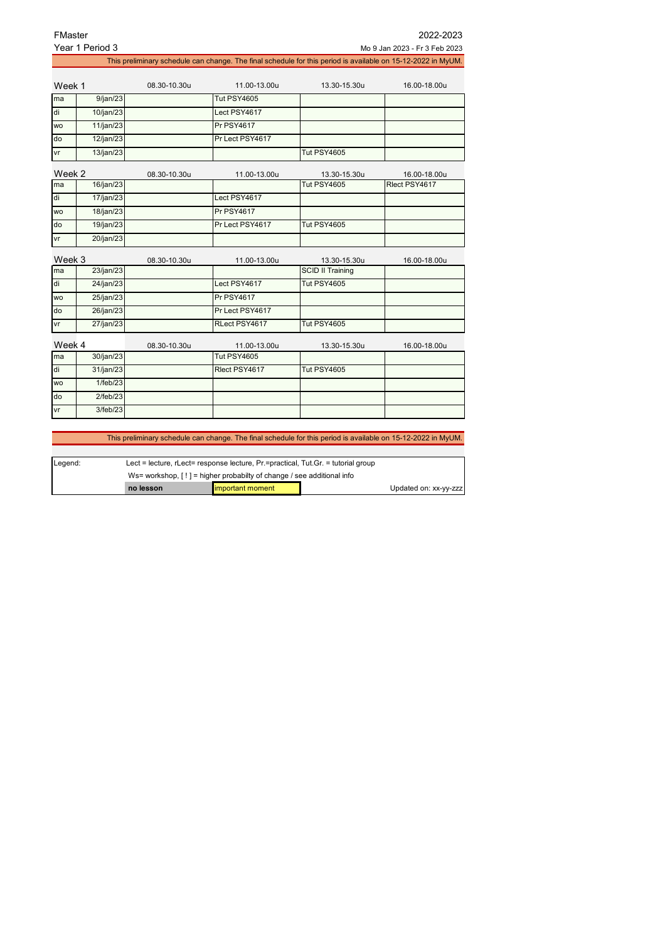| FMaster   |                 |              |                                                                                                              |                         | 2022-2023                     |
|-----------|-----------------|--------------|--------------------------------------------------------------------------------------------------------------|-------------------------|-------------------------------|
|           | Year 1 Period 3 |              |                                                                                                              |                         | Mo 9 Jan 2023 - Fr 3 Feb 2023 |
|           |                 |              | This preliminary schedule can change. The final schedule for this period is available on 15-12-2022 in MyUM. |                         |                               |
|           |                 |              |                                                                                                              |                         |                               |
| Week 1    |                 | 08.30-10.30u | 11.00-13.00u                                                                                                 | 13.30-15.30u            | 16.00-18.00u                  |
| ma        | 9/ian/23        |              | Tut PSY4605                                                                                                  |                         |                               |
| di        | 10/jan/23       |              | Lect PSY4617                                                                                                 |                         |                               |
| <b>WO</b> | 11/jan/23       |              | <b>Pr PSY4617</b>                                                                                            |                         |                               |
| do        | 12/jan/23       |              | Pr Lect PSY4617                                                                                              |                         |                               |
| vr        | 13/jan/23       |              |                                                                                                              | Tut PSY4605             |                               |
| Week 2    |                 | 08.30-10.30u | 11.00-13.00u                                                                                                 | 13.30-15.30u            | 16.00-18.00u                  |
| ma        | 16/jan/23       |              |                                                                                                              | Tut PSY4605             | Rlect PSY4617                 |
| di        | 17/jan/23       |              | Lect PSY4617                                                                                                 |                         |                               |
| wo        | 18/jan/23       |              | <b>Pr PSY4617</b>                                                                                            |                         |                               |
| do        | 19/jan/23       |              | Pr Lect PSY4617                                                                                              | <b>Tut PSY4605</b>      |                               |
| vr        | 20/jan/23       |              |                                                                                                              |                         |                               |
| Week 3    |                 | 08.30-10.30u | 11.00-13.00u                                                                                                 | 13.30-15.30u            | 16.00-18.00u                  |
| ma        | 23/jan/23       |              |                                                                                                              | <b>SCID II Training</b> |                               |
| di        | 24/jan/23       |              | Lect PSY4617                                                                                                 | <b>Tut PSY4605</b>      |                               |
| <b>WO</b> | 25/jan/23       |              | <b>Pr PSY4617</b>                                                                                            |                         |                               |
| do        | 26/jan/23       |              | Pr Lect PSY4617                                                                                              |                         |                               |
| vr        | 27/jan/23       |              | RLect PSY4617                                                                                                | <b>Tut PSY4605</b>      |                               |
| Week 4    |                 | 08.30-10.30u | 11.00-13.00u                                                                                                 | 13.30-15.30u            | 16.00-18.00u                  |
| ma        | 30/jan/23       |              | Tut PSY4605                                                                                                  |                         |                               |
| di        | 31/jan/23       |              | Rlect PSY4617                                                                                                | <b>Tut PSY4605</b>      |                               |
| <b>WO</b> | 1/feb/23        |              |                                                                                                              |                         |                               |
| do        | 2/feb/23        |              |                                                                                                              |                         |                               |
| vr        | 3/feb/23        |              |                                                                                                              |                         |                               |
|           |                 |              |                                                                                                              |                         |                               |
|           |                 |              |                                                                                                              |                         |                               |

This preliminary schedule can change. The final schedule for this period is available on 15-12-2022 in MyUM.

| Legend: | Lect = lecture, rLect= response lecture, $Pr =$ practical, Tut.Gr. = tutorial group |                   |  |                       |
|---------|-------------------------------------------------------------------------------------|-------------------|--|-----------------------|
|         | Ws= workshop. $[!]$ = higher probabilty of change / see additional info             |                   |  |                       |
|         | no lesson                                                                           | limportant moment |  | Updated on: xx-yy-zzz |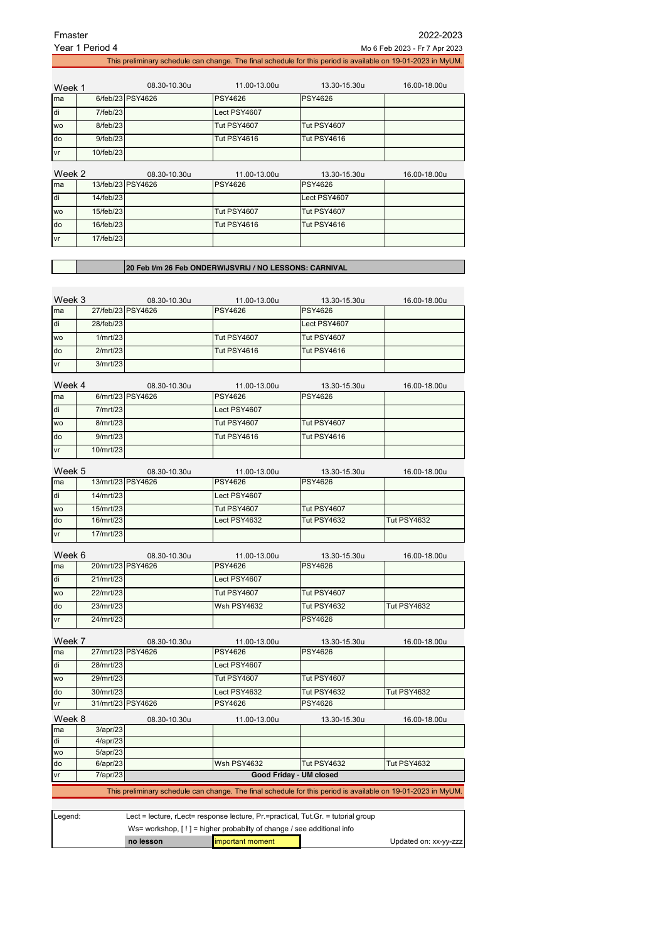| Fmaster                        | Year 1 Period 4        |                                   |                                                        |                                                                                                              | 2022-2023<br>Mo 6 Feb 2023 - Fr 7 Apr 2023 |
|--------------------------------|------------------------|-----------------------------------|--------------------------------------------------------|--------------------------------------------------------------------------------------------------------------|--------------------------------------------|
|                                |                        |                                   |                                                        | This preliminary schedule can change. The final schedule for this period is available on 19-01-2023 in MyUM. |                                            |
|                                |                        |                                   |                                                        |                                                                                                              |                                            |
| Week 1                         |                        | 08.30-10.30u                      | 11.00-13.00u                                           | 13.30-15.30u                                                                                                 | 16.00-18.00u                               |
| ma                             |                        | 6/feb/23 PSY4626                  | <b>PSY4626</b>                                         | <b>PSY4626</b>                                                                                               |                                            |
| di                             | 7/feb/23               |                                   | Lect PSY4607                                           |                                                                                                              |                                            |
| <b>WO</b>                      | 8/feb/23               |                                   | <b>Tut PSY4607</b>                                     | <b>Tut PSY4607</b>                                                                                           |                                            |
| do                             | 9/feb/23               |                                   | <b>Tut PSY4616</b>                                     | <b>Tut PSY4616</b>                                                                                           |                                            |
| vr                             | 10/feb/23              |                                   |                                                        |                                                                                                              |                                            |
|                                |                        |                                   |                                                        |                                                                                                              |                                            |
| Week 2<br>ma                   |                        | 08.30-10.30u<br>13/feb/23 PSY4626 | 11.00-13.00u<br><b>PSY4626</b>                         | 13.30-15.30u<br><b>PSY4626</b>                                                                               | 16.00-18.00u                               |
| di                             | 14/feb/23              |                                   |                                                        | Lect PSY4607                                                                                                 |                                            |
| <b>WO</b>                      | 15/feb/23              |                                   | <b>Tut PSY4607</b>                                     | <b>Tut PSY4607</b>                                                                                           |                                            |
| do                             | 16/feb/23              |                                   | <b>Tut PSY4616</b>                                     | <b>Tut PSY4616</b>                                                                                           |                                            |
| ٧r                             | 17/feb/23              |                                   |                                                        |                                                                                                              |                                            |
|                                |                        |                                   |                                                        |                                                                                                              |                                            |
|                                |                        |                                   |                                                        |                                                                                                              |                                            |
|                                |                        |                                   | 20 Feb t/m 26 Feb ONDERWIJSVRIJ / NO LESSONS: CARNIVAL |                                                                                                              |                                            |
|                                |                        |                                   |                                                        |                                                                                                              |                                            |
| Week 3                         |                        | 08.30-10.30u                      | 11.00-13.00u                                           | 13.30-15.30u                                                                                                 | 16.00-18.00u                               |
| ma                             | 27/feb/23 PSY4626      |                                   | <b>PSY4626</b>                                         | <b>PSY4626</b>                                                                                               |                                            |
| di                             | 28/feb/23              |                                   |                                                        | Lect PSY4607                                                                                                 |                                            |
| <b>WO</b>                      | 1/mrt/23               |                                   | Tut PSY4607                                            | <b>Tut PSY4607</b>                                                                                           |                                            |
| do                             | 2/mrt/23               |                                   | <b>Tut PSY4616</b>                                     | <b>Tut PSY4616</b>                                                                                           |                                            |
| vr                             | 3/mrt/23               |                                   |                                                        |                                                                                                              |                                            |
| Week 4                         |                        |                                   |                                                        |                                                                                                              |                                            |
| ma                             |                        | 08.30-10.30u<br>6/mrt/23 PSY4626  | 11.00-13.00u<br><b>PSY4626</b>                         | 13.30-15.30u<br><b>PSY4626</b>                                                                               | 16.00-18.00u                               |
| di                             | 7/mrt/23               |                                   | Lect PSY4607                                           |                                                                                                              |                                            |
| <b>WO</b>                      | 8/mrt/23               |                                   | <b>Tut PSY4607</b>                                     | <b>Tut PSY4607</b>                                                                                           |                                            |
| do                             | 9/mrt/23               |                                   | <b>Tut PSY4616</b>                                     | <b>Tut PSY4616</b>                                                                                           |                                            |
| vr                             | 10/mrt/23              |                                   |                                                        |                                                                                                              |                                            |
|                                |                        |                                   |                                                        |                                                                                                              |                                            |
| Week 5                         |                        | 08.30-10.30u                      | 11.00-13.00u                                           | 13.30-15.30u                                                                                                 | 16.00-18.00u                               |
| ma                             | 13/mrt/23 PSY4626      |                                   | <b>PSY4626</b>                                         | <b>PSY4626</b>                                                                                               |                                            |
| di                             | 14/mrt/23              |                                   | Lect PSY4607                                           |                                                                                                              |                                            |
| wo                             | 15/mrt/23              |                                   | <b>Tut PSY4607</b>                                     | Tut PSY4607                                                                                                  |                                            |
| do                             | 16/mrt/23              |                                   | Lect PSY4632                                           | <b>Tut PSY4632</b>                                                                                           | <b>Tut PSY4632</b>                         |
| ٧r                             | 17/mrt/23              |                                   |                                                        |                                                                                                              |                                            |
| Week 6                         |                        | 08.30-10.30u                      | 11.00-13.00u                                           | 13.30-15.30u                                                                                                 | 16.00-18.00u                               |
| ma                             | 20/mrt/23 PSY4626      |                                   | PSY4626                                                | <b>PSY4626</b>                                                                                               |                                            |
| di                             | 21/mrt/23              |                                   | Lect PSY4607                                           |                                                                                                              |                                            |
| WO                             | 22/mrt/23              |                                   | <b>Tut PSY4607</b>                                     | <b>Tut PSY4607</b>                                                                                           |                                            |
| do                             | 23/mrt/23              |                                   | Wsh PSY4632                                            | <b>Tut PSY4632</b>                                                                                           | Tut PSY4632                                |
| vr                             | 24/mrt/23              |                                   |                                                        | PSY4626                                                                                                      |                                            |
|                                |                        |                                   |                                                        |                                                                                                              |                                            |
|                                |                        | 08.30-10.30u                      | 11.00-13.00u<br><b>PSY4626</b>                         | 13.30-15.30u<br><b>PSY4626</b>                                                                               | 16.00-18.00u                               |
|                                |                        |                                   |                                                        |                                                                                                              |                                            |
|                                | 27/mrt/23 PSY4626      |                                   |                                                        |                                                                                                              |                                            |
|                                | 28/mrt/23              |                                   | Lect PSY4607                                           |                                                                                                              |                                            |
| Week 7<br>ma<br>di<br>WO<br>do | 29/mrt/23<br>30/mrt/23 |                                   | <b>Tut PSY4607</b><br>Lect PSY4632                     | <b>Tut PSY4607</b><br><b>Tut PSY4632</b>                                                                     | <b>Tut PSY4632</b>                         |

Week 8 08.30-10.30u 11.00-13.00u 13.30-15.30u 16.00-18.00u ma 3/apr/23 di 4/apr/23 wo 5/apr/23 do 6/apr/23 Wsh PSY4632 Tut PSY4632 Tut PSY4632 7/apr/23 This preliminary schedule can change. The final schedule for this period is available on 19-01-2023 in MyUM. **Good Friday - UM closed**

| Legend: | Lect = lecture, rLect= response lecture, $Pr =$ practical, Tut. Gr. = tutorial group |  |  |                       |  |
|---------|--------------------------------------------------------------------------------------|--|--|-----------------------|--|
|         | Ws= workshop. $[!]$ = higher probabilty of change / see additional info              |  |  |                       |  |
|         | <b>limportant moment</b><br>no lesson                                                |  |  | Updated on: xx-yy-zzz |  |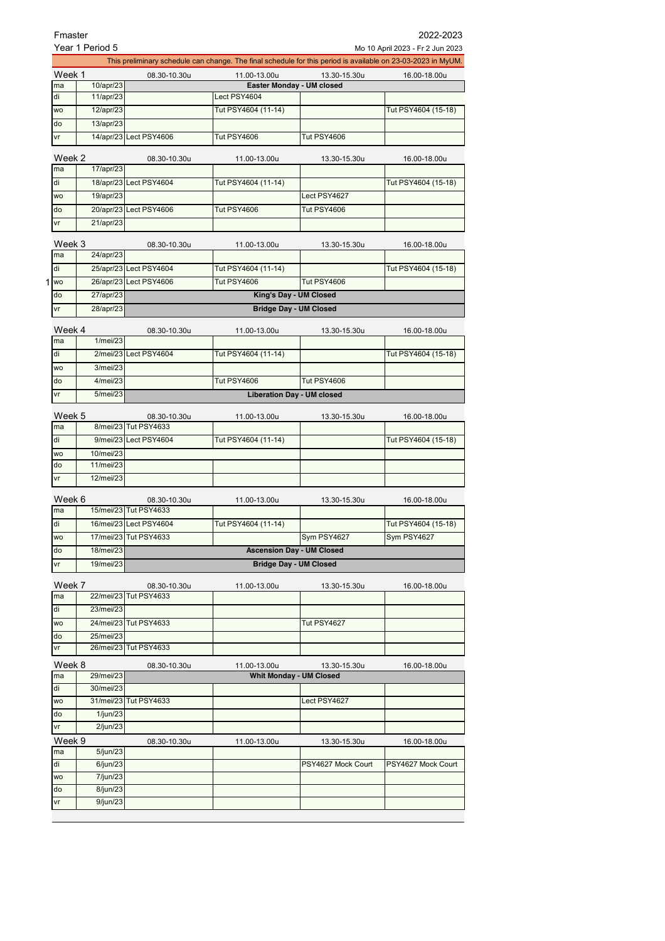| Fmaster      |                                                     |                                       |                                                                                                              |                                  | 2022-2023           |  |
|--------------|-----------------------------------------------------|---------------------------------------|--------------------------------------------------------------------------------------------------------------|----------------------------------|---------------------|--|
|              | Year 1 Period 5<br>Mo 10 April 2023 - Fr 2 Jun 2023 |                                       |                                                                                                              |                                  |                     |  |
|              |                                                     |                                       | This preliminary schedule can change. The final schedule for this period is available on 23-03-2023 in MyUM. |                                  |                     |  |
| Week 1       |                                                     | 08.30-10.30u                          | 11.00-13.00u                                                                                                 | 13.30-15.30u                     | 16.00-18.00u        |  |
| ma           | 10/apr/23                                           |                                       |                                                                                                              | Easter Monday - UM closed        |                     |  |
| di           | 11/apr/23                                           |                                       | Lect PSY4604                                                                                                 |                                  |                     |  |
| <b>WO</b>    | 12/apr/23                                           |                                       | Tut PSY4604 (11-14)                                                                                          |                                  | Tut PSY4604 (15-18) |  |
| do           | 13/apr/23                                           |                                       |                                                                                                              |                                  |                     |  |
| vr           |                                                     | 14/apr/23 Lect PSY4606                | <b>Tut PSY4606</b>                                                                                           | <b>Tut PSY4606</b>               |                     |  |
| Week 2       |                                                     | 08.30-10.30u                          | 11.00-13.00u                                                                                                 | 13.30-15.30u                     | 16.00-18.00u        |  |
| ma           | 17/apr/23                                           |                                       |                                                                                                              |                                  |                     |  |
| di           |                                                     | 18/apr/23 Lect PSY4604                | Tut PSY4604 (11-14)                                                                                          |                                  | Tut PSY4604 (15-18) |  |
| <b>WO</b>    | 19/apr/23                                           |                                       |                                                                                                              | Lect PSY4627                     |                     |  |
| do           |                                                     | 20/apr/23 Lect PSY4606                | <b>Tut PSY4606</b>                                                                                           | <b>Tut PSY4606</b>               |                     |  |
| vr           | 21/apr/23                                           |                                       |                                                                                                              |                                  |                     |  |
|              |                                                     |                                       |                                                                                                              |                                  |                     |  |
| Week 3       |                                                     | 08.30-10.30u                          | 11.00-13.00u                                                                                                 | 13.30-15.30u                     | 16.00-18.00u        |  |
| ma           | 24/apr/23                                           |                                       |                                                                                                              |                                  |                     |  |
| di           |                                                     | 25/apr/23 Lect PSY4604                | Tut PSY4604 (11-14)                                                                                          |                                  | Tut PSY4604 (15-18) |  |
| 1 wo         |                                                     | 26/apr/23 Lect PSY4606                | <b>Tut PSY4606</b>                                                                                           | <b>Tut PSY4606</b>               |                     |  |
| do           | 27/apr/23                                           |                                       |                                                                                                              | King's Day - UM Closed           |                     |  |
| ٧r           | 28/apr/23                                           |                                       |                                                                                                              | <b>Bridge Day - UM Closed</b>    |                     |  |
|              |                                                     |                                       |                                                                                                              |                                  |                     |  |
| Week 4<br>ma | $1$ /mei/23                                         | 08.30-10.30u                          | 11.00-13.00u                                                                                                 | 13.30-15.30u                     | 16.00-18.00u        |  |
| di           |                                                     | 2/mei/23 Lect PSY4604                 | Tut PSY4604 (11-14)                                                                                          |                                  | Tut PSY4604 (15-18) |  |
|              |                                                     |                                       |                                                                                                              |                                  |                     |  |
| <b>WO</b>    | 3/mei/23                                            |                                       |                                                                                                              |                                  |                     |  |
| do           | 4/mei/23                                            |                                       | <b>Tut PSY4606</b>                                                                                           | <b>Tut PSY4606</b>               |                     |  |
| vr           | 5/mei/23                                            | <b>Liberation Day - UM closed</b>     |                                                                                                              |                                  |                     |  |
| Week 5       |                                                     | 08.30-10.30u                          | 11.00-13.00u                                                                                                 | 13.30-15.30u                     | 16.00-18.00u        |  |
| ma           |                                                     | 8/mei/23 Tut PSY4633                  |                                                                                                              |                                  |                     |  |
| di           |                                                     | 9/mei/23 Lect PSY4604                 | Tut PSY4604 (11-14)                                                                                          |                                  | Tut PSY4604 (15-18) |  |
| <b>WO</b>    | 10/mei/23                                           |                                       |                                                                                                              |                                  |                     |  |
| do           | 11/mei/23                                           |                                       |                                                                                                              |                                  |                     |  |
| vr           | 12/mei/23                                           |                                       |                                                                                                              |                                  |                     |  |
|              |                                                     |                                       |                                                                                                              |                                  |                     |  |
| Week 6<br>ma |                                                     | 08.30-10.30u<br>15/mei/23 Tut PSY4633 | 11.00-13.00u                                                                                                 | 13.30-15.30u                     | 16.00-18.00u        |  |
| di           |                                                     | 16/mei/23 Lect PSY4604                | Tut PSY4604 (11-14)                                                                                          |                                  | Tut PSY4604 (15-18) |  |
| WO           |                                                     | 17/mei/23 Tut PSY4633                 |                                                                                                              | Sym PSY4627                      | Sym PSY4627         |  |
| do           | 18/mei/23                                           |                                       |                                                                                                              | <b>Ascension Day - UM Closed</b> |                     |  |
| vr           | 19/mei/23                                           |                                       |                                                                                                              | <b>Bridge Day - UM Closed</b>    |                     |  |
|              |                                                     |                                       |                                                                                                              |                                  |                     |  |
| Week 7       |                                                     | 08.30-10.30u                          | 11.00-13.00u                                                                                                 | 13.30-15.30u                     | 16.00-18.00u        |  |
| ma           |                                                     | 22/mei/23 Tut PSY4633                 |                                                                                                              |                                  |                     |  |
| di           | 23/mei/23                                           |                                       |                                                                                                              |                                  |                     |  |
| wo           |                                                     | 24/mei/23 Tut PSY4633                 |                                                                                                              | Tut PSY4627                      |                     |  |
| do           | 25/mei/23                                           |                                       |                                                                                                              |                                  |                     |  |
| ٧r           |                                                     | 26/mei/23 Tut PSY4633                 |                                                                                                              |                                  |                     |  |
| Week 8       |                                                     | 08.30-10.30u                          | 11.00-13.00u                                                                                                 | 13.30-15.30u                     | 16.00-18.00u        |  |
| ma           | 29/mei/23                                           |                                       |                                                                                                              | <b>Whit Monday - UM Closed</b>   |                     |  |
| di           | 30/mei/23                                           |                                       |                                                                                                              |                                  |                     |  |
| <b>WO</b>    |                                                     | 31/mei/23 Tut PSY4633                 |                                                                                                              | Lect PSY4627                     |                     |  |
| do           | 1/jun/23                                            |                                       |                                                                                                              |                                  |                     |  |
| vr           | $2$ /jun/23                                         |                                       |                                                                                                              |                                  |                     |  |
| Week 9       |                                                     | 08.30-10.30u                          | 11.00-13.00u                                                                                                 | 13.30-15.30u                     | 16.00-18.00u        |  |
| ma           | 5/jun/23                                            |                                       |                                                                                                              |                                  |                     |  |
| di           | 6/jun/23                                            |                                       |                                                                                                              | PSY4627 Mock Court               | PSY4627 Mock Court  |  |
| wo           | 7/jun/23                                            |                                       |                                                                                                              |                                  |                     |  |
| do           | 8/jun/23                                            |                                       |                                                                                                              |                                  |                     |  |
| ٧r           | 9/jun/23                                            |                                       |                                                                                                              |                                  |                     |  |